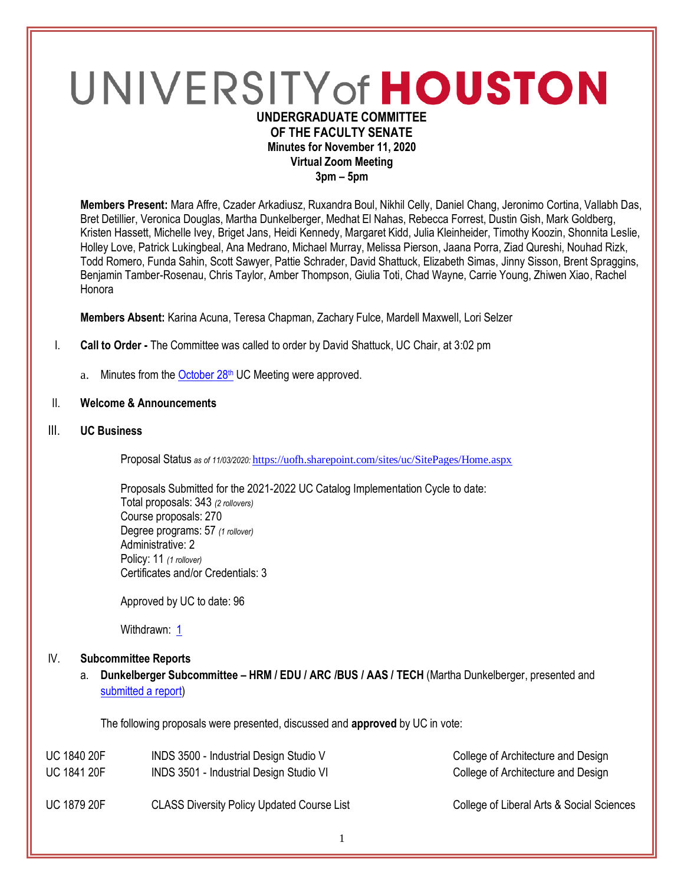# UNIVERSITY of HOUSTON **UNDERGRADUATE COMMITTEE**

# **OF THE FACULTY SENATE Minutes for November 11, 2020 Virtual Zoom Meeting**

**3pm – 5pm**

**Members Present:** Mara Affre, Czader Arkadiusz, Ruxandra Boul, Nikhil Celly, Daniel Chang, Jeronimo Cortina, Vallabh Das, Bret Detillier, Veronica Douglas, Martha Dunkelberger, Medhat El Nahas, Rebecca Forrest, Dustin Gish, Mark Goldberg, Kristen Hassett, Michelle Ivey, Briget Jans, Heidi Kennedy, Margaret Kidd, Julia Kleinheider, Timothy Koozin, Shonnita Leslie, Holley Love, Patrick Lukingbeal, Ana Medrano, Michael Murray, Melissa Pierson, Jaana Porra, Ziad Qureshi, Nouhad Rizk, Todd Romero, Funda Sahin, Scott Sawyer, Pattie Schrader, David Shattuck, Elizabeth Simas, Jinny Sisson, Brent Spraggins, Benjamin Tamber-Rosenau, Chris Taylor, Amber Thompson, Giulia Toti, Chad Wayne, Carrie Young, Zhiwen Xiao, Rachel Honora

**Members Absent:** Karina Acuna, Teresa Chapman, Zachary Fulce, Mardell Maxwell, Lori Selzer

- I. **Call to Order -** The Committee was called to order by David Shattuck, UC Chair, at 3:02 pm
	- a. Minutes from the [October 28](https://uh.edu/undergraduate-committee/meetings/agendas-minutes/ay-2021/m_2020_1028.pdf)<sup>th</sup> UC Meeting were approved.

## II. **Welcome & Announcements**

# III. **UC Business**

Proposal Status *as of 11/03/2020:* <https://uofh.sharepoint.com/sites/uc/SitePages/Home.aspx>

Proposals Submitted for the 2021-2022 UC Catalog Implementation Cycle to date: Total proposals: 343 *(2 rollovers)* Course proposals: 270 Degree programs: 57 *(1 rollover)* Administrative: 2 Policy: 11 *(1 rollover)* Certificates and/or Credentials: 3

Approved by UC to date: 96

Withdrawn: [1](https://uofh.sharepoint.com/sites/uc/Lists/ProposalSubmissionAndTracking/Submitted%20Proposals%20%20Current%20Year%20%20Grouped.aspx?FilterField1=Proposal%5Fx0020%5FStatus&FilterValue1=Withdrawn%20%2D%20See%20Proposal%20Notes&FilterType1=Choice&viewid=3e8f7d7c%2Dd8a4%2D43cd%2D8f0e%2D60cc2ac81fe6)

## IV. **Subcommittee Reports**

a. **Dunkelberger Subcommittee – HRM / EDU / ARC /BUS / AAS / TECH** (Martha Dunkelberger, presented and [submitted a report\)](https://uofh.sharepoint.com/:w:/s/uc/admin/EfKBggmaTOFBk5bL7iwYOrYB83p3v5GNokugtd5V3eq2mg?e=ZBdS3p)

The following proposals were presented, discussed and **approved** by UC in vote:

| <b>UC 1840 20F</b> | INDS 3500 - Industrial Design Studio V            | College of Architecture and Design        |
|--------------------|---------------------------------------------------|-------------------------------------------|
| <b>UC 1841 20F</b> | INDS 3501 - Industrial Design Studio VI           | College of Architecture and Design        |
| <b>UC 1879 20F</b> | <b>CLASS Diversity Policy Updated Course List</b> | College of Liberal Arts & Social Sciences |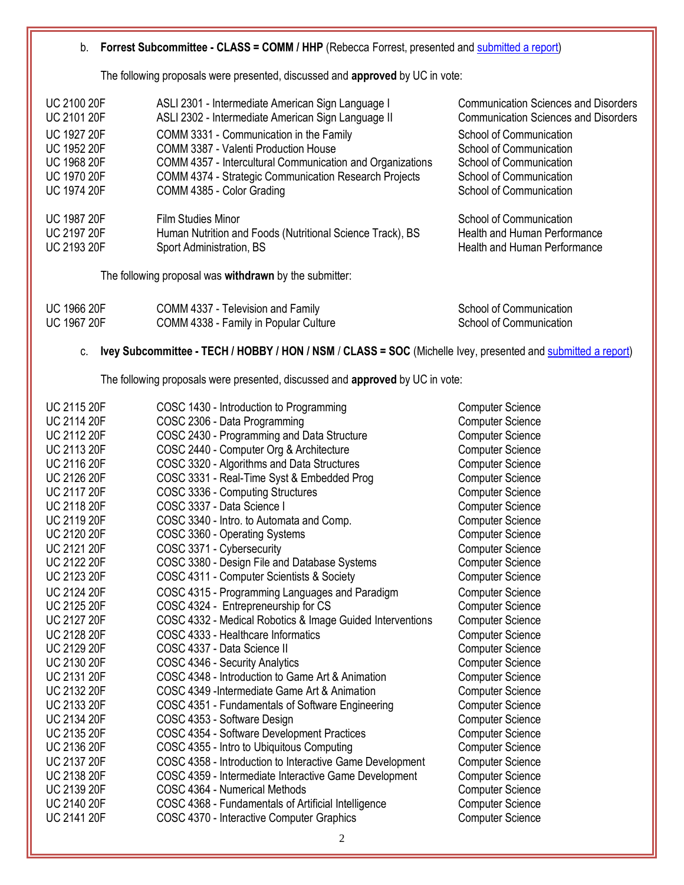#### b. **Forrest Subcommittee - CLASS = COMM / HHP** (Rebecca Forrest, presented and [submitted a report\)](https://uofh.sharepoint.com/:w:/s/uc/admin/Ec2eqodwGfBKqBcqKfpY4vwBVgaZli5jaBFOqJMoMcb4Dg?e=P0byp1)

The following proposals were presented, discussed and **approved** by UC in vote:

| <b>UC 2100 20F</b>                                             | ASLI 2301 - Intermediate American Sign Language I                                                                                                                     | <b>Communication Sciences and Disorders</b>                                                    |
|----------------------------------------------------------------|-----------------------------------------------------------------------------------------------------------------------------------------------------------------------|------------------------------------------------------------------------------------------------|
| <b>UC 2101 20F</b>                                             | ASLI 2302 - Intermediate American Sign Language II                                                                                                                    | <b>Communication Sciences and Disorders</b>                                                    |
| <b>UC 1927 20F</b>                                             | COMM 3331 - Communication in the Family                                                                                                                               | School of Communication                                                                        |
| <b>UC 1952 20F</b>                                             | COMM 3387 - Valenti Production House                                                                                                                                  | School of Communication                                                                        |
| <b>UC 1968 20F</b>                                             | COMM 4357 - Intercultural Communication and Organizations                                                                                                             | School of Communication                                                                        |
| <b>UC 1970 20F</b>                                             | <b>COMM 4374 - Strategic Communication Research Projects</b>                                                                                                          | School of Communication                                                                        |
| <b>UC 1974 20F</b>                                             | COMM 4385 - Color Grading                                                                                                                                             | School of Communication                                                                        |
| <b>UC 1987 20F</b><br><b>UC 2197 20F</b><br><b>UC 2193 20F</b> | Film Studies Minor<br>Human Nutrition and Foods (Nutritional Science Track), BS<br>Sport Administration, BS<br>The following proposal was withdrawn by the submitter: | School of Communication<br>Health and Human Performance<br><b>Health and Human Performance</b> |
|                                                                |                                                                                                                                                                       |                                                                                                |

| UC 1966 20F | COMM 4337 - Television and Family     | School of Communication |
|-------------|---------------------------------------|-------------------------|
| UC 1967 20F | COMM 4338 - Family in Popular Culture | School of Communication |

# c. **Ivey Subcommittee - TECH / HOBBY / HON / NSM** / **CLASS = SOC** (Michelle Ivey, presented and [submitted a report\)](https://uofh.sharepoint.com/:w:/s/uc/admin/EXLeIP5nI91Mv01_1iJzbksBk7F-xEESkkmrFYpUt9Hw4g?e=SGh6oP)

The following proposals were presented, discussed and **approved** by UC in vote:

| <b>UC 2115 20F</b> | COSC 1430 - Introduction to Programming                   | <b>Computer Science</b> |
|--------------------|-----------------------------------------------------------|-------------------------|
| <b>UC 2114 20F</b> | COSC 2306 - Data Programming                              | <b>Computer Science</b> |
| <b>UC 2112 20F</b> | COSC 2430 - Programming and Data Structure                | <b>Computer Science</b> |
| <b>UC 2113 20F</b> | COSC 2440 - Computer Org & Architecture                   | <b>Computer Science</b> |
| <b>UC 2116 20F</b> | COSC 3320 - Algorithms and Data Structures                | <b>Computer Science</b> |
| <b>UC 2126 20F</b> | COSC 3331 - Real-Time Syst & Embedded Prog                | <b>Computer Science</b> |
| <b>UC 2117 20F</b> | COSC 3336 - Computing Structures                          | <b>Computer Science</b> |
| <b>UC 2118 20F</b> | COSC 3337 - Data Science I                                | <b>Computer Science</b> |
| <b>UC 2119 20F</b> | COSC 3340 - Intro. to Automata and Comp.                  | <b>Computer Science</b> |
| <b>UC 2120 20F</b> | COSC 3360 - Operating Systems                             | <b>Computer Science</b> |
| <b>UC 2121 20F</b> | COSC 3371 - Cybersecurity                                 | <b>Computer Science</b> |
| <b>UC 2122 20F</b> | COSC 3380 - Design File and Database Systems              | <b>Computer Science</b> |
| <b>UC 2123 20F</b> | COSC 4311 - Computer Scientists & Society                 | <b>Computer Science</b> |
| <b>UC 2124 20F</b> | COSC 4315 - Programming Languages and Paradigm            | <b>Computer Science</b> |
| <b>UC 2125 20F</b> | COSC 4324 - Entrepreneurship for CS                       | <b>Computer Science</b> |
| <b>UC 2127 20F</b> | COSC 4332 - Medical Robotics & Image Guided Interventions | <b>Computer Science</b> |
| <b>UC 2128 20F</b> | COSC 4333 - Healthcare Informatics                        | <b>Computer Science</b> |
| <b>UC 2129 20F</b> | COSC 4337 - Data Science II                               | <b>Computer Science</b> |
| <b>UC 2130 20F</b> | COSC 4346 - Security Analytics                            | <b>Computer Science</b> |
| <b>UC 2131 20F</b> | COSC 4348 - Introduction to Game Art & Animation          | <b>Computer Science</b> |
| <b>UC 2132 20F</b> | COSC 4349 - Intermediate Game Art & Animation             | <b>Computer Science</b> |
| UC 2133 20F        | COSC 4351 - Fundamentals of Software Engineering          | <b>Computer Science</b> |
| <b>UC 2134 20F</b> | COSC 4353 - Software Design                               | <b>Computer Science</b> |
| <b>UC 2135 20F</b> | COSC 4354 - Software Development Practices                | <b>Computer Science</b> |
| <b>UC 2136 20F</b> | COSC 4355 - Intro to Ubiquitous Computing                 | <b>Computer Science</b> |
| <b>UC 2137 20F</b> | COSC 4358 - Introduction to Interactive Game Development  | <b>Computer Science</b> |
| <b>UC 2138 20F</b> | COSC 4359 - Intermediate Interactive Game Development     | <b>Computer Science</b> |
| <b>UC 2139 20F</b> | COSC 4364 - Numerical Methods                             | <b>Computer Science</b> |
| <b>UC 2140 20F</b> | COSC 4368 - Fundamentals of Artificial Intelligence       | <b>Computer Science</b> |
| <b>UC 2141 20F</b> | COSC 4370 - Interactive Computer Graphics                 | <b>Computer Science</b> |
|                    |                                                           |                         |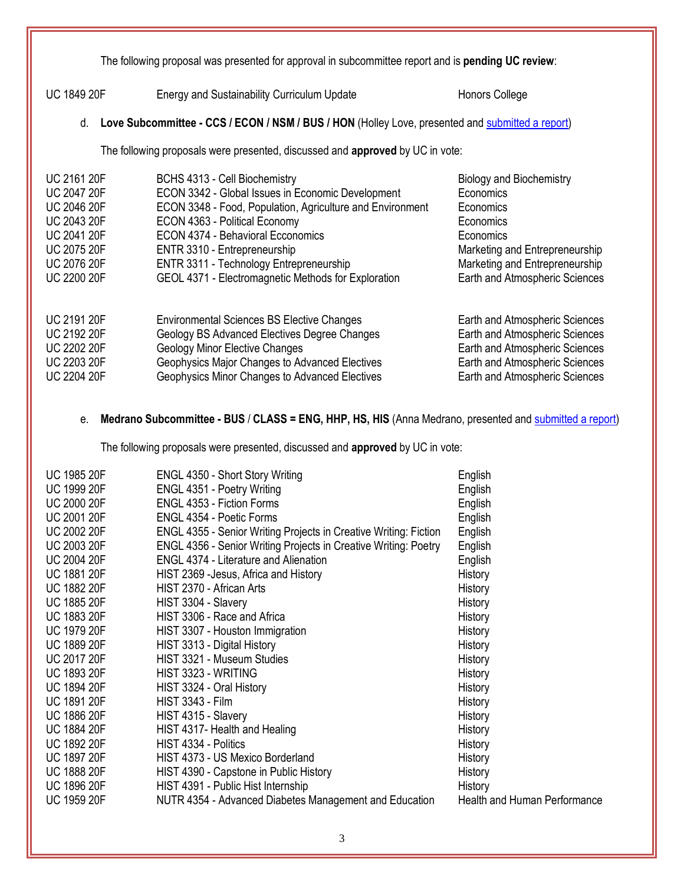The following proposal was presented for approval in subcommittee report and is **pending UC review**:

UC 1849 20F Energy and Sustainability Curriculum Update Honors College

d. **Love Subcommittee - CCS / ECON / NSM / BUS / HON** (Holley Love, presented and [submitted a report\)](https://uofh.sharepoint.com/:w:/s/uc/admin/EeHPwgcw4S5Evd5uXRgKeqsBNgaVYHRAJRrHT-TluxjEtQ?e=GGKmhO)

The following proposals were presented, discussed and **approved** by UC in vote:

| <b>UC 2161 20F</b> | BCHS 4313 - Cell Biochemistry                             | <b>Biology and Biochemistry</b> |
|--------------------|-----------------------------------------------------------|---------------------------------|
| <b>UC 2047 20F</b> | ECON 3342 - Global Issues in Economic Development         | Economics                       |
| <b>UC 2046 20F</b> | ECON 3348 - Food, Population, Agriculture and Environment | Economics                       |
| <b>UC 2043 20F</b> | ECON 4363 - Political Economy                             | Economics                       |
| <b>UC 2041 20F</b> | <b>ECON 4374 - Behavioral Ecconomics</b>                  | Economics                       |
| <b>UC 2075 20F</b> | ENTR 3310 - Entrepreneurship                              | Marketing and Entrepreneurship  |
| <b>UC 2076 20F</b> | ENTR 3311 - Technology Entrepreneurship                   | Marketing and Entrepreneurship  |
| <b>UC 2200 20F</b> | GEOL 4371 - Electromagnetic Methods for Exploration       | Earth and Atmospheric Sciences  |
| <b>UC 2191 20F</b> | <b>Environmental Sciences BS Elective Changes</b>         | Earth and Atmospheric Sciences  |
| <b>UC 2192 20F</b> | Geology BS Advanced Electives Degree Changes              | Earth and Atmospheric Sciences  |
| <b>UC 2202 20F</b> | <b>Geology Minor Elective Changes</b>                     | Earth and Atmospheric Sciences  |
| <b>UC 2203 20F</b> | Geophysics Major Changes to Advanced Electives            | Earth and Atmospheric Sciences  |
| <b>UC 2204 20F</b> | Geophysics Minor Changes to Advanced Electives            | Earth and Atmospheric Sciences  |

# e. **Medrano Subcommittee - BUS** / **CLASS = ENG, HHP, HS, HIS** (Anna Medrano, presented an[d submitted a report\)](https://uofh.sharepoint.com/:w:/s/uc/admin/EfVbj0EVLXlOhyTEjCBbWMMBAPvDNsZhrDpfu87ygN4bqA?e=nJNQI7)

The following proposals were presented, discussed and **approved** by UC in vote:

| <b>UC 1985 20F</b> | ENGL 4350 - Short Story Writing                                         | English                             |
|--------------------|-------------------------------------------------------------------------|-------------------------------------|
| <b>UC 1999 20F</b> | ENGL 4351 - Poetry Writing                                              | English                             |
| <b>UC 2000 20F</b> | <b>ENGL 4353 - Fiction Forms</b>                                        | English                             |
| <b>UC 2001 20F</b> | ENGL 4354 - Poetic Forms                                                | English                             |
| <b>UC 2002 20F</b> | <b>ENGL 4355 - Senior Writing Projects in Creative Writing: Fiction</b> | English                             |
| <b>UC 2003 20F</b> | ENGL 4356 - Senior Writing Projects in Creative Writing: Poetry         | English                             |
| <b>UC 2004 20F</b> | <b>ENGL 4374 - Literature and Alienation</b>                            | English                             |
| <b>UC 1881 20F</b> | HIST 2369 - Jesus, Africa and History                                   | History                             |
| <b>UC 1882 20F</b> | HIST 2370 - African Arts                                                | History                             |
| <b>UC 1885 20F</b> | HIST 3304 - Slavery                                                     | History                             |
| <b>UC 1883 20F</b> | HIST 3306 - Race and Africa                                             | History                             |
| <b>UC 1979 20F</b> | HIST 3307 - Houston Immigration                                         | History                             |
| <b>UC 1889 20F</b> | HIST 3313 - Digital History                                             | History                             |
| <b>UC 2017 20F</b> | HIST 3321 - Museum Studies                                              | History                             |
| <b>UC 1893 20F</b> | HIST 3323 - WRITING                                                     | History                             |
| <b>UC 1894 20F</b> | HIST 3324 - Oral History                                                | History                             |
| <b>UC 1891 20F</b> | <b>HIST 3343 - Film</b>                                                 | History                             |
| <b>UC 1886 20F</b> | HIST 4315 - Slavery                                                     | History                             |
| <b>UC 1884 20F</b> | HIST 4317- Health and Healing                                           | History                             |
| <b>UC 1892 20F</b> | HIST 4334 - Politics                                                    | History                             |
| <b>UC 1897 20F</b> | HIST 4373 - US Mexico Borderland                                        | History                             |
| <b>UC 1888 20F</b> | HIST 4390 - Capstone in Public History                                  | History                             |
| <b>UC 1896 20F</b> | HIST 4391 - Public Hist Internship                                      | History                             |
| <b>UC 1959 20F</b> | NUTR 4354 - Advanced Diabetes Management and Education                  | <b>Health and Human Performance</b> |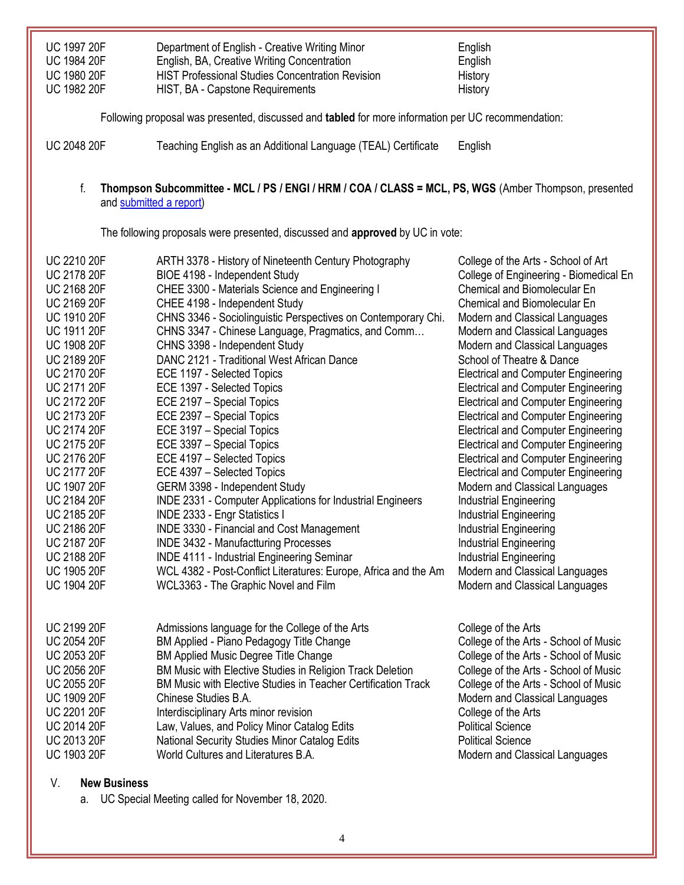| <b>UC 1997 20F</b> | Department of English - Creative Writing Minor          | English |
|--------------------|---------------------------------------------------------|---------|
| <b>UC 1984 20F</b> | English, BA, Creative Writing Concentration             | English |
| <b>UC 1980 20F</b> | <b>HIST Professional Studies Concentration Revision</b> | History |
| <b>UC 1982 20F</b> | HIST, BA - Capstone Requirements                        | History |

Following proposal was presented, discussed and **tabled** for more information per UC recommendation:

UC 2048 20F Teaching English as an Additional Language (TEAL) Certificate English

#### f. **Thompson Subcommittee - MCL / PS / ENGI / HRM / COA / CLASS = MCL, PS, WGS** (Amber Thompson, presented an[d submitted a report\)](https://uofh.sharepoint.com/:w:/s/uc/admin/ESFvxO5Qb1FIn-_sHd_HOhYBOCQOsFJo9OyiAueQtsxMPw?e=hARuy7)

The following proposals were presented, discussed and **approved** by UC in vote:

| <b>UC 2210 20F</b> | ARTH 3378 - History of Nineteenth Century Photography           | College of the Arts - School of Art        |
|--------------------|-----------------------------------------------------------------|--------------------------------------------|
| <b>UC 2178 20F</b> | BIOE 4198 - Independent Study                                   | College of Engineering - Biomedical En     |
| <b>UC 2168 20F</b> | CHEE 3300 - Materials Science and Engineering I                 | <b>Chemical and Biomolecular En</b>        |
| <b>UC 2169 20F</b> | CHEE 4198 - Independent Study                                   | <b>Chemical and Biomolecular En</b>        |
| <b>UC 1910 20F</b> | CHNS 3346 - Sociolinguistic Perspectives on Contemporary Chi.   | Modern and Classical Languages             |
| <b>UC 1911 20F</b> | CHNS 3347 - Chinese Language, Pragmatics, and Comm              | Modern and Classical Languages             |
| <b>UC 1908 20F</b> | CHNS 3398 - Independent Study                                   | Modern and Classical Languages             |
| <b>UC 2189 20F</b> | DANC 2121 - Traditional West African Dance                      | School of Theatre & Dance                  |
| <b>UC 2170 20F</b> | ECE 1197 - Selected Topics                                      | <b>Electrical and Computer Engineering</b> |
| <b>UC 2171 20F</b> | ECE 1397 - Selected Topics                                      | <b>Electrical and Computer Engineering</b> |
| <b>UC 2172 20F</b> | ECE 2197 - Special Topics                                       | <b>Electrical and Computer Engineering</b> |
| UC 2173 20F        | ECE 2397 - Special Topics                                       | <b>Electrical and Computer Engineering</b> |
| UC 2174 20F        | ECE 3197 - Special Topics                                       | <b>Electrical and Computer Engineering</b> |
| <b>UC 2175 20F</b> | ECE 3397 - Special Topics                                       | <b>Electrical and Computer Engineering</b> |
| UC 2176 20F        | ECE 4197 - Selected Topics                                      | <b>Electrical and Computer Engineering</b> |
| <b>UC 2177 20F</b> | ECE 4397 - Selected Topics                                      | <b>Electrical and Computer Engineering</b> |
| <b>UC 1907 20F</b> | GERM 3398 - Independent Study                                   | Modern and Classical Languages             |
| <b>UC 2184 20F</b> | INDE 2331 - Computer Applications for Industrial Engineers      | Industrial Engineering                     |
| <b>UC 2185 20F</b> | INDE 2333 - Engr Statistics I                                   | Industrial Engineering                     |
| <b>UC 2186 20F</b> | <b>INDE 3330 - Financial and Cost Management</b>                | Industrial Engineering                     |
| <b>UC 2187 20F</b> | <b>INDE 3432 - Manufactturing Processes</b>                     | Industrial Engineering                     |
| <b>UC 2188 20F</b> | <b>INDE 4111 - Industrial Engineering Seminar</b>               | Industrial Engineering                     |
| <b>UC 1905 20F</b> | WCL 4382 - Post-Conflict Literatures: Europe, Africa and the Am | Modern and Classical Languages             |
| <b>UC 1904 20F</b> | WCL3363 - The Graphic Novel and Film                            | Modern and Classical Languages             |
| <b>UC 2199 20F</b> | Admissions language for the College of the Arts                 | College of the Arts                        |
| <b>UC 2054 20F</b> | BM Applied - Piano Pedagogy Title Change                        | College of the Arts - School of Music      |
| <b>UC 2053 20F</b> | <b>BM Applied Music Degree Title Change</b>                     | College of the Arts - School of Music      |
| <b>UC 2056 20F</b> | BM Music with Elective Studies in Religion Track Deletion       | College of the Arts - School of Music      |
| <b>UC 2055 20F</b> | BM Music with Elective Studies in Teacher Certification Track   | College of the Arts - School of Music      |
| <b>UC 1909 20F</b> | Chinese Studies B.A.                                            | Modern and Classical Languages             |
| <b>UC 2201 20F</b> | Interdisciplinary Arts minor revision                           | College of the Arts                        |
| <b>UC 2014 20F</b> | Law, Values, and Policy Minor Catalog Edits                     | <b>Political Science</b>                   |
| <b>UC 2013 20F</b> | National Security Studies Minor Catalog Edits                   | <b>Political Science</b>                   |
| <b>UC 1903 20F</b> | World Cultures and Literatures B.A.                             | Modern and Classical Languages             |
|                    |                                                                 |                                            |

# V. **New Business**

a. UC Special Meeting called for November 18, 2020.

4